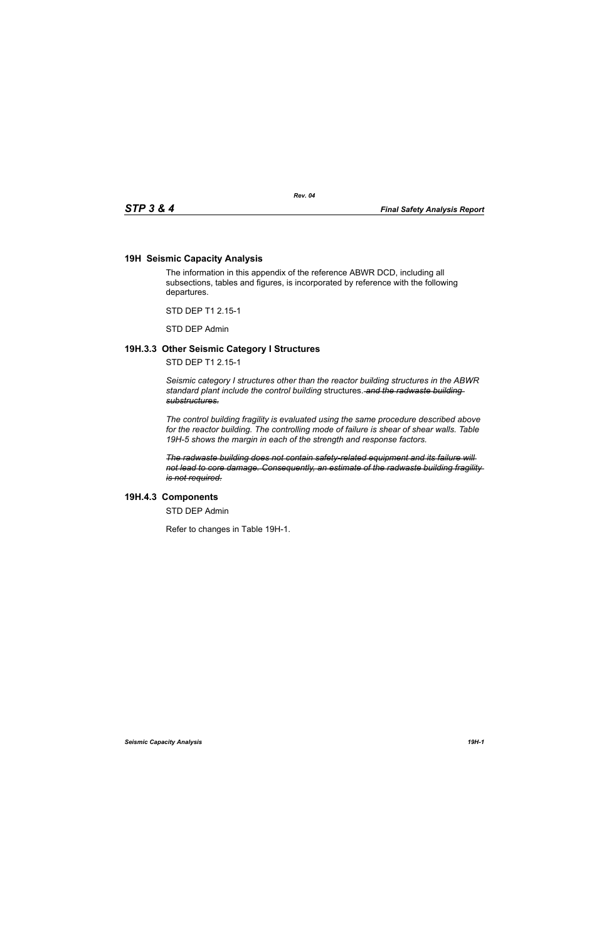## **19H Seismic Capacity Analysis**

The information in this appendix of the reference ABWR DCD, including all subsections, tables and figures, is incorporated by reference with the following departures.

STD DEP T1 2.15-1

STD DEP Admin

## **19H.3.3 Other Seismic Category I Structures**

STD DEP T1 2.15-1

*Seismic category I structures other than the reactor building structures in the ABWR standard plant include the control building* structures. *and the radwaste building substructures.*

*The control building fragility is evaluated using the same procedure described above for the reactor building. The controlling mode of failure is shear of shear walls. Table 19H-5 shows the margin in each of the strength and response factors.*

*The radwaste building does not contain safety-related equipment and its failure will not lead to core damage. Consequently, an estimate of the radwaste building fragility is not required.*

## **19H.4.3 Components**

STD DEP Admin

Refer to changes in Table 19H-1.